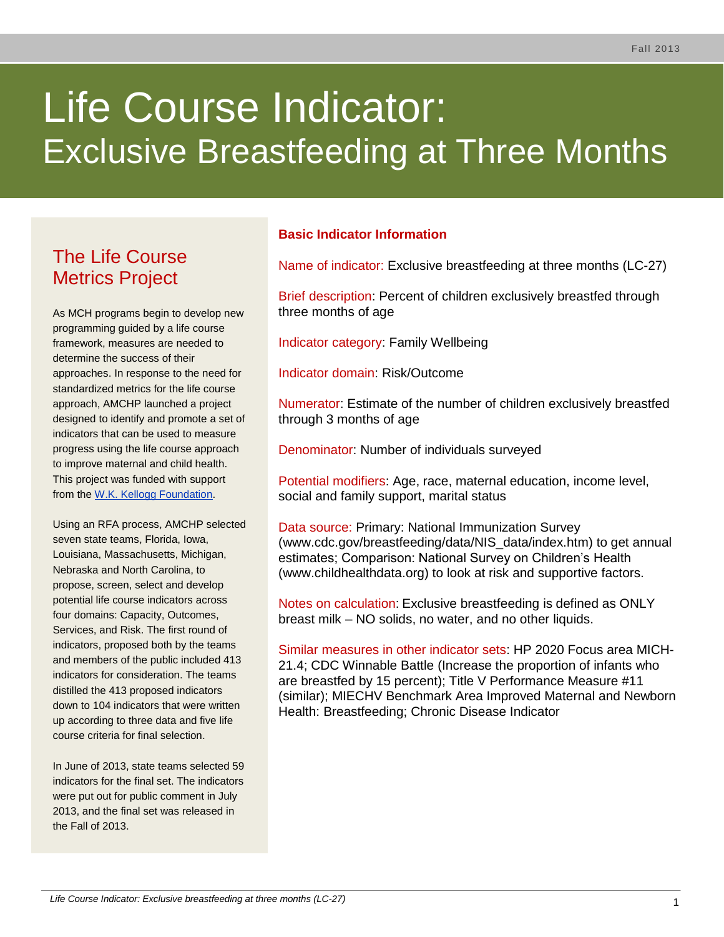# Life Course Indicator: Exclusive Breastfeeding at Three Months

## The Life Course Metrics Project

As MCH programs begin to develop new programming guided by a life course framework, measures are needed to determine the success of their approaches. In response to the need for standardized metrics for the life course approach, AMCHP launched a project designed to identify and promote a set of indicators that can be used to measure progress using the life course approach to improve maternal and child health. This project was funded with support from the [W.K. Kellogg Foundation.](http://www.wkkf.org/)

Using an RFA process, AMCHP selected seven state teams, Florida, Iowa, Louisiana, Massachusetts, Michigan, Nebraska and North Carolina, to propose, screen, select and develop potential life course indicators across four domains: Capacity, Outcomes, Services, and Risk. The first round of indicators, proposed both by the teams and members of the public included 413 indicators for consideration. The teams distilled the 413 proposed indicators down to 104 indicators that were written up according to three data and five life course criteria for final selection.

In June of 2013, state teams selected 59 indicators for the final set. The indicators were put out for public comment in July 2013, and the final set was released in the Fall of 2013.

## **Basic Indicator Information**

Name of indicator: Exclusive breastfeeding at three months (LC-27)

Brief description: Percent of children exclusively breastfed through three months of age

Indicator category: Family Wellbeing

Indicator domain: Risk/Outcome

Numerator: Estimate of the number of children exclusively breastfed through 3 months of age

Denominator: Number of individuals surveyed

Potential modifiers: Age, race, maternal education, income level, social and family support, marital status

Data source: Primary: National Immunization Survey (www.cdc.gov/breastfeeding/data/NIS\_data/index.htm) to get annual estimates; Comparison: National Survey on Children's Health (www.childhealthdata.org) to look at risk and supportive factors.

Notes on calculation: Exclusive breastfeeding is defined as ONLY breast milk – NO solids, no water, and no other liquids.

Similar measures in other indicator sets: HP 2020 Focus area MICH-21.4; CDC Winnable Battle (Increase the proportion of infants who are breastfed by 15 percent); Title V Performance Measure #11 (similar); MIECHV Benchmark Area Improved Maternal and Newborn Health: Breastfeeding; Chronic Disease Indicator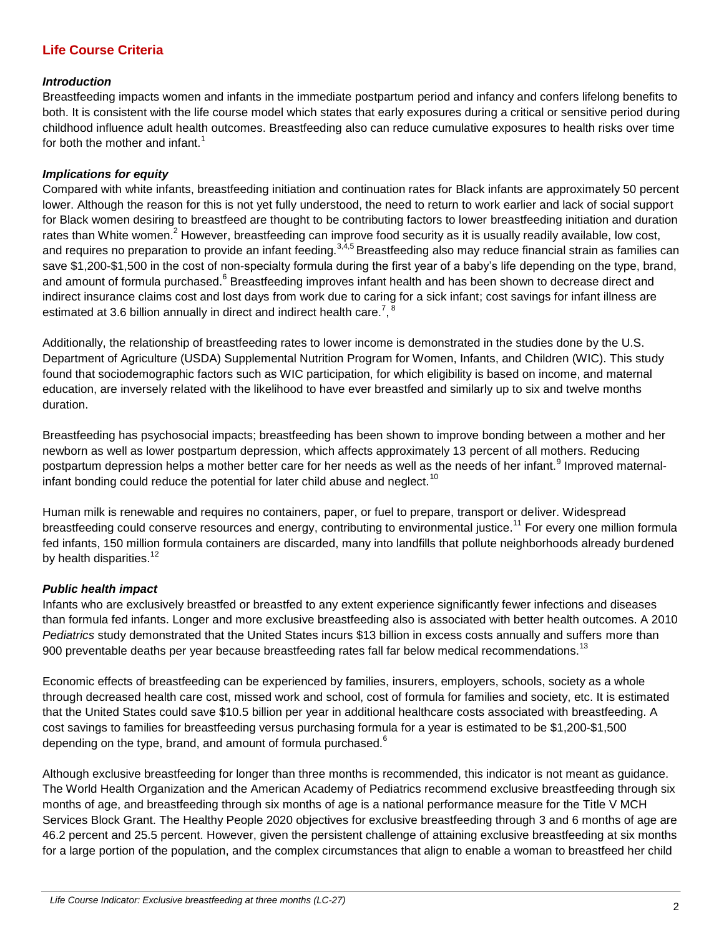## **Life Course Criteria**

## *Introduction*

Breastfeeding impacts women and infants in the immediate postpartum period and infancy and confers lifelong benefits to both. It is consistent with the life course model which states that early exposures during a critical or sensitive period during childhood influence adult health outcomes. Breastfeeding also can reduce cumulative exposures to health risks over time for both the mother and infant.<sup>1</sup>

## *Implications for equity*

Compared with white infants, breastfeeding initiation and continuation rates for Black infants are approximately 50 percent lower. Although the reason for this is not yet fully understood, the need to return to work earlier and lack of social support for Black women desiring to breastfeed are thought to be contributing factors to lower breastfeeding initiation and duration rates than White women.<sup>2</sup> However, breastfeeding can improve food security as it is usually readily available, low cost, and requires no preparation to provide an infant feeding.<sup>3,4,5</sup> Breastfeeding also may reduce financial strain as families can save \$1,200-\$1,500 in the cost of non-specialty formula during the first year of a baby's life depending on the type, brand, and amount of formula purchased.<sup>6</sup> Breastfeeding improves infant health and has been shown to decrease direct and indirect insurance claims cost and lost days from work due to caring for a sick infant; cost savings for infant illness are estimated at 3.6 billion annually in direct and indirect health care.<sup>7</sup>,  $8$ 

Additionally, the relationship of breastfeeding rates to lower income is demonstrated in the studies done by the U.S. Department of Agriculture (USDA) Supplemental Nutrition Program for Women, Infants, and Children (WIC). This study found that sociodemographic factors such as WIC participation, for which eligibility is based on income, and maternal education, are inversely related with the likelihood to have ever breastfed and similarly up to six and twelve months duration.

Breastfeeding has psychosocial impacts; breastfeeding has been shown to improve bonding between a mother and her newborn as well as lower postpartum depression, which affects approximately 13 percent of all mothers. Reducing postpartum depression helps a mother better care for her needs as well as the needs of her infant.<sup>9</sup> Improved maternalinfant bonding could reduce the potential for later child abuse and neglect.<sup>10</sup>

Human milk is renewable and requires no containers, paper, or fuel to prepare, transport or deliver. Widespread breastfeeding could conserve resources and energy, contributing to environmental justice.<sup>11</sup> For every one million formula fed infants, 150 million formula containers are discarded, many into landfills that pollute neighborhoods already burdened by health disparities. $12$ 

## *Public health impact*

Infants who are exclusively breastfed or breastfed to any extent experience significantly fewer infections and diseases than formula fed infants. Longer and more exclusive breastfeeding also is associated with better health outcomes. A 2010 *Pediatrics* study demonstrated that the United States incurs \$13 billion in excess costs annually and suffers more than 900 preventable deaths per year because breastfeeding rates fall far below medical recommendations.<sup>13</sup>

Economic effects of breastfeeding can be experienced by families, insurers, employers, schools, society as a whole through decreased health care cost, missed work and school, cost of formula for families and society, etc. It is estimated that the United States could save \$10.5 billion per year in additional healthcare costs associated with breastfeeding. A cost savings to families for breastfeeding versus purchasing formula for a year is estimated to be \$1,200-\$1,500 depending on the type, brand, and amount of formula purchased.<sup>6</sup>

Although exclusive breastfeeding for longer than three months is recommended, this indicator is not meant as guidance. The World Health Organization and the American Academy of Pediatrics recommend exclusive breastfeeding through six months of age, and breastfeeding through six months of age is a national performance measure for the Title V MCH Services Block Grant. The Healthy People 2020 objectives for exclusive breastfeeding through 3 and 6 months of age are 46.2 percent and 25.5 percent. However, given the persistent challenge of attaining exclusive breastfeeding at six months for a large portion of the population, and the complex circumstances that align to enable a woman to breastfeed her child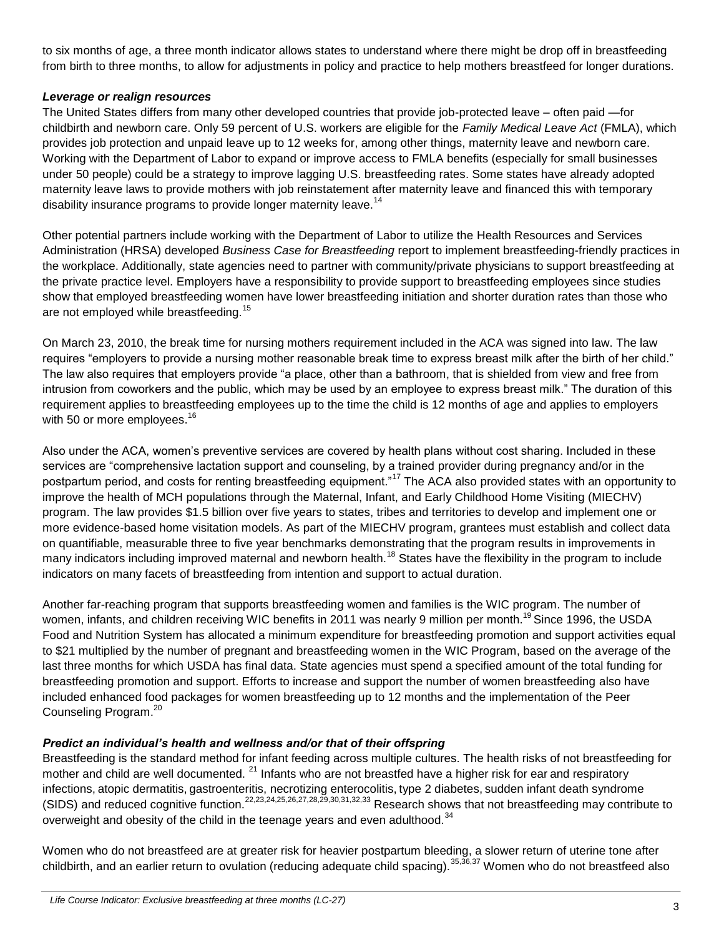to six months of age, a three month indicator allows states to understand where there might be drop off in breastfeeding from birth to three months, to allow for adjustments in policy and practice to help mothers breastfeed for longer durations.

## *Leverage or realign resources*

The United States differs from many other developed countries that provide job-protected leave – often paid —for childbirth and newborn care. Only 59 percent of U.S. workers are eligible for the *Family Medical Leave Act* (FMLA), which provides job protection and unpaid leave up to 12 weeks for, among other things, maternity leave and newborn care. Working with the Department of Labor to expand or improve access to FMLA benefits (especially for small businesses under 50 people) could be a strategy to improve lagging U.S. breastfeeding rates. Some states have already adopted maternity leave laws to provide mothers with job reinstatement after maternity leave and financed this with temporary disability insurance programs to provide longer maternity leave.<sup>14</sup>

Other potential partners include working with the Department of Labor to utilize the Health Resources and Services Administration (HRSA) developed *Business Case for Breastfeeding* report to implement breastfeeding-friendly practices in the workplace. Additionally, state agencies need to partner with community/private physicians to support breastfeeding at the private practice level. Employers have a responsibility to provide support to breastfeeding employees since studies show that employed breastfeeding women have lower breastfeeding initiation and shorter duration rates than those who are not employed while breastfeeding.<sup>15</sup>

On March 23, 2010, the break time for nursing mothers requirement included in the ACA was signed into law. The law requires "employers to provide a nursing mother reasonable break time to express breast milk after the birth of her child." The law also requires that employers provide "a place, other than a bathroom, that is shielded from view and free from intrusion from coworkers and the public, which may be used by an employee to express breast milk." The duration of this requirement applies to breastfeeding employees up to the time the child is 12 months of age and applies to employers with 50 or more employees.<sup>16</sup>

Also under the ACA, women's preventive services are covered by health plans without cost sharing. Included in these services are "comprehensive lactation support and counseling, by a trained provider during pregnancy and/or in the postpartum period, and costs for renting breastfeeding equipment."<sup>17</sup> The ACA also provided states with an opportunity to improve the health of MCH populations through the Maternal, Infant, and Early Childhood Home Visiting (MIECHV) program. The law provides \$1.5 billion over five years to states, tribes and territories to develop and implement one or more evidence-based home visitation models. As part of the MIECHV program, grantees must establish and collect data on quantifiable, measurable three to five year benchmarks demonstrating that the program results in improvements in many indicators including improved maternal and newborn health.<sup>18</sup> States have the flexibility in the program to include indicators on many facets of breastfeeding from intention and support to actual duration.

Another far-reaching program that supports breastfeeding women and families is the WIC program. The number of women, infants, and children receiving WIC benefits in 2011 was nearly 9 million per month.<sup>19</sup> Since 1996, the USDA Food and Nutrition System has allocated a minimum expenditure for breastfeeding promotion and support activities equal to \$21 multiplied by the number of pregnant and breastfeeding women in the WIC Program, based on the average of the last three months for which USDA has final data. State agencies must spend a specified amount of the total funding for breastfeeding promotion and support. Efforts to increase and support the number of women breastfeeding also have included enhanced food packages for women breastfeeding up to 12 months and the implementation of the Peer Counseling Program.<sup>20</sup>

## *Predict an individual's health and wellness and/or that of their offspring*

Breastfeeding is the standard method for infant feeding across multiple cultures. The health risks of not breastfeeding for mother and child are well documented. <sup>21</sup> Infants who are not breastfed have a higher risk for ear and respiratory infections, atopic dermatitis, gastroenteritis, necrotizing enterocolitis, type 2 diabetes, sudden infant death syndrome (SIDS) and reduced cognitive function.22,23,24,25,26,27,28,29,30,31,32,33 Research shows that not breastfeeding may contribute to overweight and obesity of the child in the teenage years and even adulthood.<sup>34</sup>

Women who do not breastfeed are at greater risk for heavier postpartum bleeding, a slower return of uterine tone after childbirth, and an earlier return to ovulation (reducing adequate child spacing).35,36,37 Women who do not breastfeed also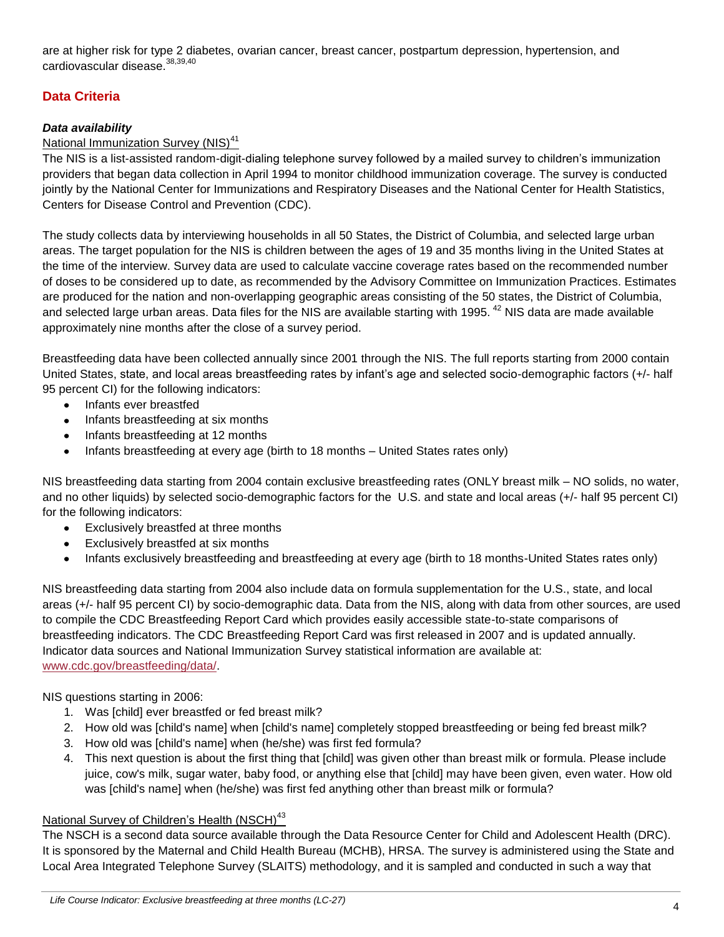are at higher risk for type 2 diabetes, ovarian cancer, breast cancer, postpartum depression, hypertension, and cardiovascular disease.<sup>38,39,40</sup>

## **Data Criteria**

## *Data availability*

## National Immunization Survey (NIS)<sup>41</sup>

The NIS is a list-assisted random-digit-dialing telephone survey followed by a mailed survey to children's immunization providers that began data collection in April 1994 to monitor childhood immunization coverage. The survey is conducted jointly by the National Center for Immunizations and Respiratory Diseases and the National Center for Health Statistics, Centers for Disease Control and Prevention (CDC).

The study collects data by interviewing households in all 50 States, the District of Columbia, and selected large urban areas. The target population for the NIS is children between the ages of 19 and 35 months living in the United States at the time of the interview. Survey data are used to calculate vaccine coverage rates based on the recommended number of doses to be considered up to date, as recommended by the Advisory Committee on Immunization Practices. Estimates are produced for the nation and non-overlapping geographic areas consisting of the 50 states, the District of Columbia, and selected large urban areas. Data files for the NIS are available starting with 1995.<sup>42</sup> NIS data are made available approximately nine months after the close of a survey period.

Breastfeeding data have been collected annually since 2001 through the NIS. The full reports starting from 2000 contain United States, state, and local areas breastfeeding rates by infant's age and selected socio-demographic factors (+/- half 95 percent CI) for the following indicators:

- Infants ever breastfed  $\bullet$
- Infants breastfeeding at six months  $\bullet$
- Infants breastfeeding at 12 months
- Infants breastfeeding at every age (birth to 18 months United States rates only)  $\bullet$

NIS breastfeeding data starting from 2004 contain exclusive breastfeeding rates (ONLY breast milk – NO solids, no water, and no other liquids) by selected socio-demographic factors for the U.S. and state and local areas (+/- half 95 percent CI) for the following indicators:

- Exclusively breastfed at three months  $\bullet$
- Exclusively breastfed at six months
- Infants exclusively breastfeeding and breastfeeding at every age (birth to 18 months-United States rates only)

NIS breastfeeding data starting from 2004 also include data on formula supplementation for the U.S., state, and local areas (+/- half 95 percent CI) by socio-demographic data. Data from the NIS, along with data from other sources, are used to compile the CDC Breastfeeding Report Card which provides easily accessible state-to-state comparisons of breastfeeding indicators. The CDC Breastfeeding Report Card was first released in 2007 and is updated annually. Indicator data sources and National Immunization Survey statistical information are available at: [www.cdc.gov/breastfeeding/data/.](http://www.cdc.gov/breastfeeding/data/)

NIS questions starting in 2006:

- 1. Was [child] ever breastfed or fed breast milk?
- 2. How old was [child's name] when [child's name] completely stopped breastfeeding or being fed breast milk?
- 3. How old was [child's name] when (he/she) was first fed formula?
- 4. This next question is about the first thing that [child] was given other than breast milk or formula. Please include juice, cow's milk, sugar water, baby food, or anything else that [child] may have been given, even water. How old was [child's name] when (he/she) was first fed anything other than breast milk or formula?

## National Survey of Children's Health (NSCH)<sup>43</sup>

The NSCH is a second data source available through the Data Resource Center for Child and Adolescent Health (DRC). It is sponsored by the Maternal and Child Health Bureau (MCHB), HRSA. The survey is administered using the State and Local Area Integrated Telephone Survey (SLAITS) methodology, and it is sampled and conducted in such a way that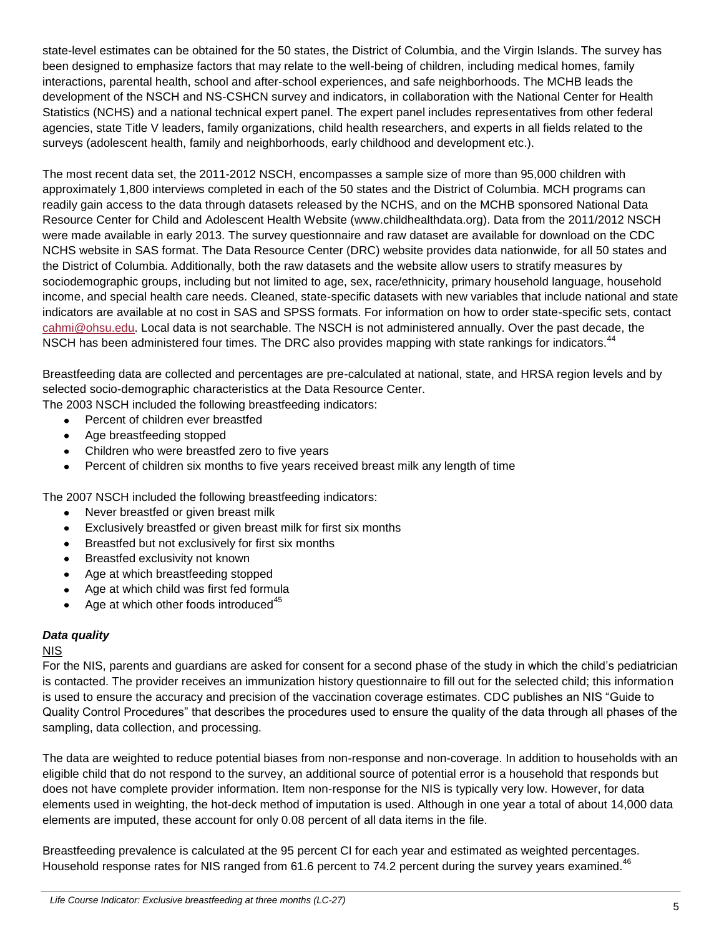state-level estimates can be obtained for the 50 states, the District of Columbia, and the Virgin Islands. The survey has been designed to emphasize factors that may relate to the well-being of children, including medical homes, family interactions, parental health, school and after-school experiences, and safe neighborhoods. The MCHB leads the development of the NSCH and NS-CSHCN survey and indicators, in collaboration with the National Center for Health Statistics (NCHS) and a national technical expert panel. The expert panel includes representatives from other federal agencies, state Title V leaders, family organizations, child health researchers, and experts in all fields related to the surveys (adolescent health, family and neighborhoods, early childhood and development etc.).

The most recent data set, the 2011-2012 NSCH, encompasses a sample size of more than 95,000 children with approximately 1,800 interviews completed in each of the 50 states and the District of Columbia. MCH programs can readily gain access to the data through datasets released by the NCHS, and on the MCHB sponsored National Data Resource Center for Child and Adolescent Health Website (www.childhealthdata.org). Data from the 2011/2012 NSCH were made available in early 2013. The survey questionnaire and raw dataset are available for download on the CDC NCHS website in SAS format. The Data Resource Center (DRC) website provides data nationwide, for all 50 states and the District of Columbia. Additionally, both the raw datasets and the website allow users to stratify measures by sociodemographic groups, including but not limited to age, sex, race/ethnicity, primary household language, household income, and special health care needs. Cleaned, state-specific datasets with new variables that include national and state indicators are available at no cost in SAS and SPSS formats. For information on how to order state-specific sets, contact [cahmi@ohsu.edu.](mailto:cahmi@ohsu.edu) Local data is not searchable. The NSCH is not administered annually. Over the past decade, the NSCH has been administered four times. The DRC also provides mapping with state rankings for indicators.<sup>44</sup>

Breastfeeding data are collected and percentages are pre-calculated at national, state, and HRSA region levels and by selected socio-demographic characteristics at the Data Resource Center.

The 2003 NSCH included the following breastfeeding indicators:

- Percent of children ever breastfed  $\bullet$
- Age breastfeeding stopped  $\bullet$
- Children who were breastfed zero to five years
- Percent of children six months to five years received breast milk any length of time  $\bullet$

The 2007 NSCH included the following breastfeeding indicators:

- Never breastfed or given breast milk
- Exclusively breastfed or given breast milk for first six months
- Breastfed but not exclusively for first six months
- Breastfed exclusivity not known
- Age at which breastfeeding stopped
- Age at which child was first fed formula
- Age at which other foods introduced $45$

## *Data quality*

## NIS

For the NIS, parents and guardians are asked for consent for a second phase of the study in which the child's pediatrician is contacted. The provider receives an immunization history questionnaire to fill out for the selected child; this information is used to ensure the accuracy and precision of the vaccination coverage estimates. CDC publishes an NIS "Guide to Quality Control Procedures" that describes the procedures used to ensure the quality of the data through all phases of the sampling, data collection, and processing.

The data are weighted to reduce potential biases from non-response and non-coverage. In addition to households with an eligible child that do not respond to the survey, an additional source of potential error is a household that responds but does not have complete provider information. Item non-response for the NIS is typically very low. However, for data elements used in weighting, the hot-deck method of imputation is used. Although in one year a total of about 14,000 data elements are imputed, these account for only 0.08 percent of all data items in the file.

Breastfeeding prevalence is calculated at the 95 percent CI for each year and estimated as weighted percentages. Household response rates for NIS ranged from 61.6 percent to 74.2 percent during the survey years examined.<sup>46</sup>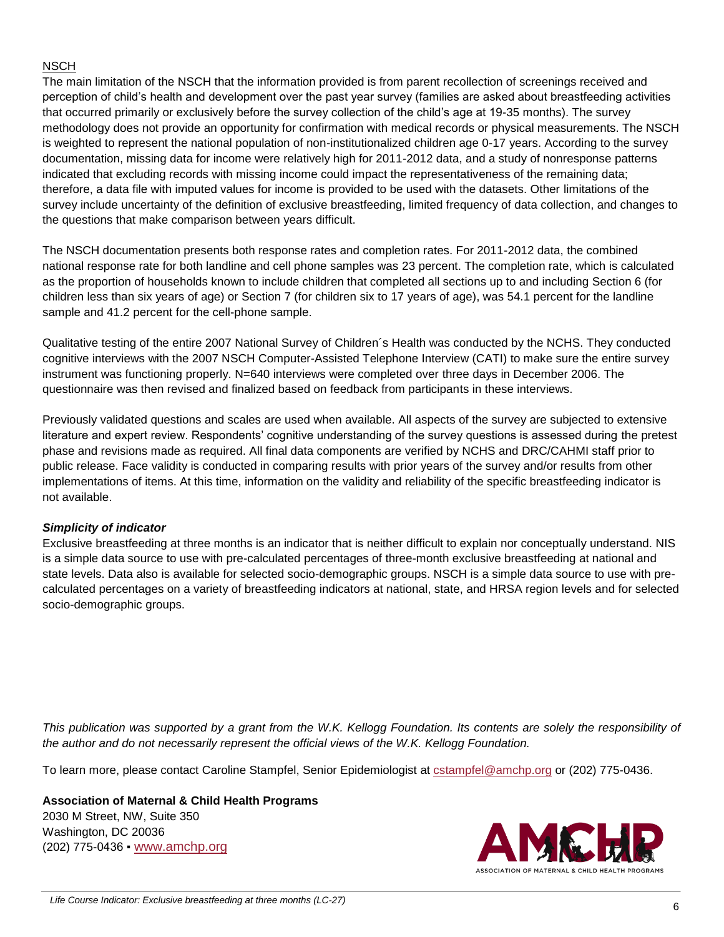## **NSCH**

The main limitation of the NSCH that the information provided is from parent recollection of screenings received and perception of child's health and development over the past year survey (families are asked about breastfeeding activities that occurred primarily or exclusively before the survey collection of the child's age at 19-35 months). The survey methodology does not provide an opportunity for confirmation with medical records or physical measurements. The NSCH is weighted to represent the national population of non-institutionalized children age 0-17 years. According to the survey documentation, missing data for income were relatively high for 2011-2012 data, and a study of nonresponse patterns indicated that excluding records with missing income could impact the representativeness of the remaining data; therefore, a data file with imputed values for income is provided to be used with the datasets. Other limitations of the survey include uncertainty of the definition of exclusive breastfeeding, limited frequency of data collection, and changes to the questions that make comparison between years difficult.

The NSCH documentation presents both response rates and completion rates. For 2011-2012 data, the combined national response rate for both landline and cell phone samples was 23 percent. The completion rate, which is calculated as the proportion of households known to include children that completed all sections up to and including Section 6 (for children less than six years of age) or Section 7 (for children six to 17 years of age), was 54.1 percent for the landline sample and 41.2 percent for the cell-phone sample.

Qualitative testing of the entire 2007 National Survey of Children´s Health was conducted by the NCHS. They conducted cognitive interviews with the 2007 NSCH Computer-Assisted Telephone Interview (CATI) to make sure the entire survey instrument was functioning properly. N=640 interviews were completed over three days in December 2006. The questionnaire was then revised and finalized based on feedback from participants in these interviews.

Previously validated questions and scales are used when available. All aspects of the survey are subjected to extensive literature and expert review. Respondents' cognitive understanding of the survey questions is assessed during the pretest phase and revisions made as required. All final data components are verified by NCHS and DRC/CAHMI staff prior to public release. Face validity is conducted in comparing results with prior years of the survey and/or results from other implementations of items. At this time, information on the validity and reliability of the specific breastfeeding indicator is not available.

## *Simplicity of indicator*

Exclusive breastfeeding at three months is an indicator that is neither difficult to explain nor conceptually understand. NIS is a simple data source to use with pre-calculated percentages of three-month exclusive breastfeeding at national and state levels. Data also is available for selected socio-demographic groups. NSCH is a simple data source to use with precalculated percentages on a variety of breastfeeding indicators at national, state, and HRSA region levels and for selected socio-demographic groups.

*This publication was supported by a grant from the W.K. Kellogg Foundation. Its contents are solely the responsibility of the author and do not necessarily represent the official views of the W.K. Kellogg Foundation.* 

To learn more, please contact Caroline Stampfel, Senior Epidemiologist at [cstampfel@amchp.org](mailto:cstampfel@amchp.org) or (202) 775-0436.

**Association of Maternal & Child Health Programs**

2030 M Street, NW, Suite 350 Washington, DC 20036 (202) 775-0436 ▪ [www.amchp.org](http://www.amchp.org/)

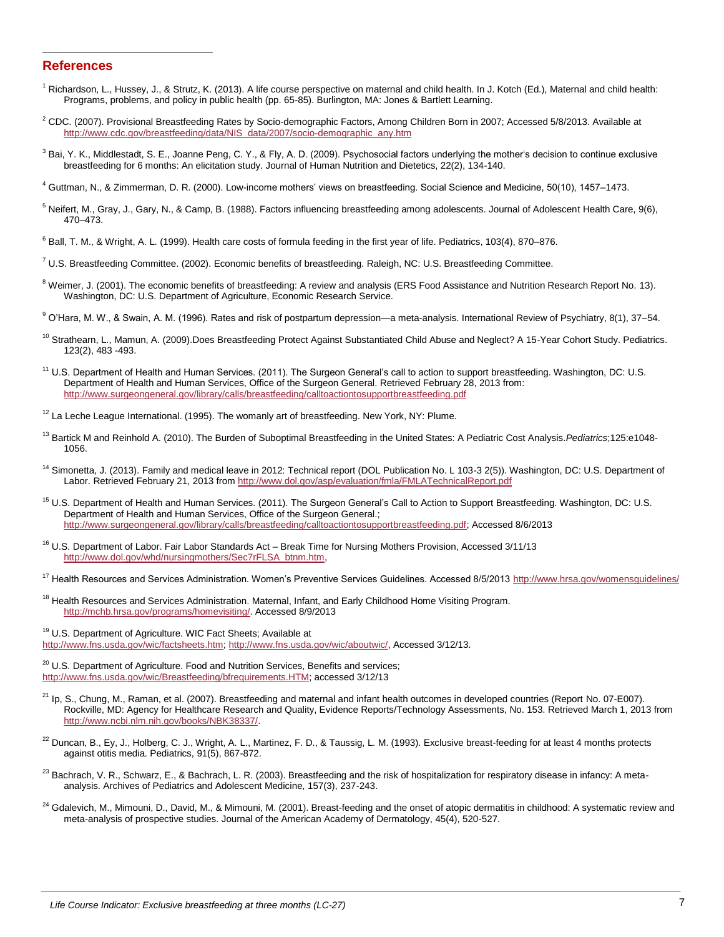#### **References**

l

- <sup>1</sup> Richardson, L., Hussey, J., & Strutz, K. (2013). A life course perspective on maternal and child health. In J. Kotch (Ed.), Maternal and child health: Programs, problems, and policy in public health (pp. 65-85). Burlington, MA: Jones & Bartlett Learning.
- $2^2$  CDC. (2007). Provisional Breastfeeding Rates by Socio-demographic Factors, Among Children Born in 2007; Accessed 5/8/2013. Available at [http://www.cdc.gov/breastfeeding/data/NIS\\_data/2007/socio-demographic\\_any.htm](http://www.cdc.gov/breastfeeding/data/NIS_data/2007/socio-demographic_any.htm)
- <sup>3</sup> Bai, Y. K., Middlestadt, S. E., Joanne Peng, C. Y., & Fly, A. D. (2009). Psychosocial factors underlying the mother's decision to continue exclusive breastfeeding for 6 months: An elicitation study. Journal of Human Nutrition and Dietetics, 22(2), 134-140.

<sup>4</sup> Guttman, N., & Zimmerman, D. R. (2000). Low-income mothers' views on breastfeeding. Social Science and Medicine, 50(10), 1457–1473.

- <sup>5</sup> Neifert, M., Gray, J., Gary, N., & Camp, B. (1988). Factors influencing breastfeeding among adolescents. Journal of Adolescent Health Care, 9(6), 470–473.
- $6$  Ball, T. M., & Wright, A. L. (1999). Health care costs of formula feeding in the first year of life. Pediatrics, 103(4), 870–876.
- $^7$  U.S. Breastfeeding Committee. (2002). Economic benefits of breastfeeding. Raleigh, NC: U.S. Breastfeeding Committee.
- <sup>8</sup> Weimer, J. (2001). The economic benefits of breastfeeding: A review and analysis (ERS Food Assistance and Nutrition Research Report No. 13). Washington, DC: U.S. Department of Agriculture, Economic Research Service.
- <sup>9</sup> O'Hara, M. W., & Swain, A. M. (1996). Rates and risk of postpartum depression—a meta-analysis. International Review of Psychiatry, 8(1), 37-54.
- <sup>10</sup> Strathearn, L., Mamun, A. (2009).Does Breastfeeding Protect Against Substantiated Child Abuse and Neglect? A 15-Year Cohort Study. Pediatrics. 123(2), 483 -493.
- <sup>11</sup> U.S. Department of Health and Human Services. (2011). The Surgeon General's call to action to support breastfeeding. Washington, DC: U.S. Department of Health and Human Services, Office of the Surgeon General. Retrieved February 28, 2013 from: <http://www.surgeongeneral.gov/library/calls/breastfeeding/calltoactiontosupportbreastfeeding.pdf>
- <sup>12</sup> La Leche League International. (1995). The womanly art of breastfeeding. New York, NY: Plume.
- <sup>13</sup> Bartick M and Reinhold A. (2010). The Burden of Suboptimal Breastfeeding in the United States: A Pediatric Cost Analysis.*Pediatrics*;125:e1048- 1056.
- <sup>14</sup> Simonetta, J. (2013). Family and medical leave in 2012: Technical report (DOL Publication No. L 103-3 2(5)). Washington, DC: U.S. Department of Labor. Retrieved February 21, 2013 from<http://www.dol.gov/asp/evaluation/fmla/FMLATechnicalReport.pdf>
- <sup>15</sup> U.S. Department of Health and Human Services. (2011). The Surgeon General's Call to Action to Support Breastfeeding. Washington, DC: U.S. Department of Health and Human Services, Office of the Surgeon General.; [http://www.surgeongeneral.gov/library/calls/breastfeeding/calltoactiontosupportbreastfeeding.pdf;](http://www.surgeongeneral.gov/library/calls/breastfeeding/calltoactiontosupportbreastfeeding.pdf) Accessed 8/6/2013
- <sup>16</sup> U.S. Department of Labor. Fair Labor Standards Act Break Time for Nursing Mothers Provision, Accessed 3/11/13 [http://www.dol.gov/whd/nursingmothers/Sec7rFLSA\\_btnm.htm,](http://www.dol.gov/whd/nursingmothers/Sec7rFLSA_btnm.htm)
- <sup>17</sup> Health Resources and Services Administration. Women's Preventive Services Guidelines. Accessed 8/5/2013<http://www.hrsa.gov/womensguidelines/>
- <sup>18</sup> Health Resources and Services Administration. Maternal, Infant, and Early Childhood Home Visiting Program. [http://mchb.hrsa.gov/programs/homevisiting/.](http://mchb.hrsa.gov/programs/homevisiting/) Accessed 8/9/2013
- <sup>19</sup> U.S. Department of Agriculture. WIC Fact Sheets; Available at [http://www.fns.usda.gov/wic/factsheets.htm;](http://www.fns.usda.gov/wic/factsheets.htm) [http://www.fns.usda.gov/wic/aboutwic/,](http://www.fns.usda.gov/wic/aboutwic/) Accessed 3/12/13.
- <sup>20</sup> U.S. Department of Agriculture. Food and Nutrition Services, Benefits and services; [http://www.fns.usda.gov/wic/Breastfeeding/bfrequirements.HTM;](http://www.fns.usda.gov/wic/Breastfeeding/bfrequirements.HTM) accessed 3/12/13
- $^{21}$  Ip, S., Chung, M., Raman, et al. (2007). Breastfeeding and maternal and infant health outcomes in developed countries (Report No. 07-E007). Rockville, MD: Agency for Healthcare Research and Quality, Evidence Reports/Technology Assessments, No. 153. Retrieved March 1, 2013 from [http://www.ncbi.nlm.nih.gov/books/NBK38337/.](http://www.ncbi.nlm.nih.gov/books/NBK38337/)
- <sup>22</sup> Duncan, B., Ey, J., Holberg, C. J., Wright, A. L., Martinez, F. D., & Taussig, L. M. (1993). Exclusive breast-feeding for at least 4 months protects against otitis media. Pediatrics, 91(5), 867-872.
- $^{23}$  Bachrach, V. R., Schwarz, E., & Bachrach, L. R. (2003). Breastfeeding and the risk of hospitalization for respiratory disease in infancy: A metaanalysis. Archives of Pediatrics and Adolescent Medicine, 157(3), 237-243.
- <sup>24</sup> Gdalevich, M., Mimouni, D., David, M., & Mimouni, M. (2001). Breast-feeding and the onset of atopic dermatitis in childhood: A systematic review and meta-analysis of prospective studies. Journal of the American Academy of Dermatology, 45(4), 520-527.